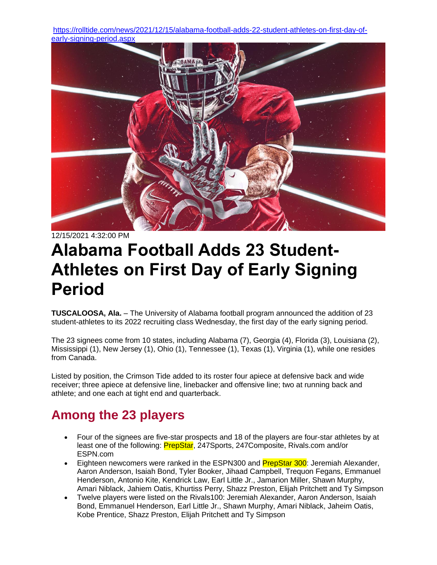[https://rolltide.com/news/2021/12/15/alabama-football-adds-22-student-athletes-on-first-day-of](https://rolltide.com/news/2021/12/15/alabama-football-adds-22-student-athletes-on-first-day-of-early-signing-period.aspx)[early-signing-period.aspx](https://rolltide.com/news/2021/12/15/alabama-football-adds-22-student-athletes-on-first-day-of-early-signing-period.aspx)



12/15/2021 4:32:00 PM

# **Alabama Football Adds 23 Student-Athletes on First Day of Early Signing Period**

**TUSCALOOSA, Ala.** – The University of Alabama football program announced the addition of 23 student-athletes to its 2022 recruiting class Wednesday, the first day of the early signing period.

The 23 signees come from 10 states, including Alabama (7), Georgia (4), Florida (3), Louisiana (2), Mississippi (1), New Jersey (1), Ohio (1), Tennessee (1), Texas (1), Virginia (1), while one resides from Canada.

Listed by position, the Crimson Tide added to its roster four apiece at defensive back and wide receiver; three apiece at defensive line, linebacker and offensive line; two at running back and athlete; and one each at tight end and quarterback.

## **Among the 23 players**

- Four of the signees are five-star prospects and 18 of the players are four-star athletes by at least one of the following: **PrepStar**, 247Sports, 247Composite, Rivals.com and/or ESPN.com
- Eighteen newcomers were ranked in the ESPN300 and PrepStar 300: Jeremiah Alexander, Aaron Anderson, Isaiah Bond, Tyler Booker, Jihaad Campbell, Trequon Fegans, Emmanuel Henderson, Antonio Kite, Kendrick Law, Earl Little Jr., Jamarion Miller, Shawn Murphy, Amari Niblack, Jahiem Oatis, Khurtiss Perry, Shazz Preston, Elijah Pritchett and Ty Simpson
- Twelve players were listed on the Rivals100: Jeremiah Alexander, Aaron Anderson, Isaiah Bond, Emmanuel Henderson, Earl Little Jr., Shawn Murphy, Amari Niblack, Jaheim Oatis, Kobe Prentice, Shazz Preston, Elijah Pritchett and Ty Simpson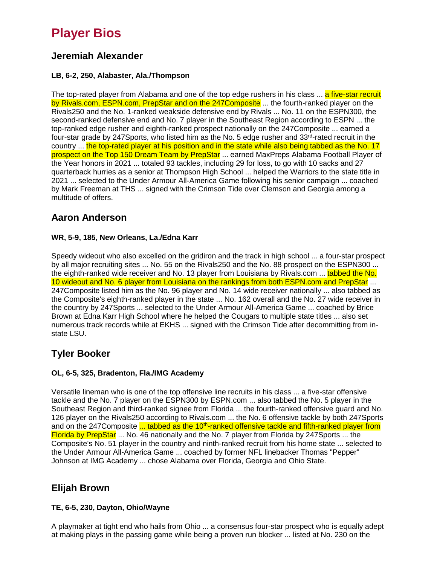## **Player Bios**

## **Jeremiah Alexander**

#### **LB, 6-2, 250, Alabaster, Ala./Thompson**

The top-rated player from Alabama and one of the top edge rushers in his class ... a five-star recruit by Rivals.com, ESPN.com, PrepStar and on the 247Composite ... the fourth-ranked player on the Rivals250 and the No. 1-ranked weakside defensive end by Rivals ... No. 11 on the ESPN300, the second-ranked defensive end and No. 7 player in the Southeast Region according to ESPN ... the top-ranked edge rusher and eighth-ranked prospect nationally on the 247Composite ... earned a four-star grade by 247Sports, who listed him as the No. 5 edge rusher and 33<sup>rd</sup>-rated recruit in the country ... the top-rated player at his position and in the state while also being tabbed as the No. 17 prospect on the Top 150 Dream Team by PrepStar ... earned MaxPreps Alabama Football Player of the Year honors in 2021 ... totaled 93 tackles, including 29 for loss, to go with 10 sacks and 27 quarterback hurries as a senior at Thompson High School ... helped the Warriors to the state title in 2021 ... selected to the Under Armour All-America Game following his senior campaign ... coached by Mark Freeman at THS ... signed with the Crimson Tide over Clemson and Georgia among a multitude of offers.

## **Aaron Anderson**

#### **WR, 5-9, 185, New Orleans, La./Edna Karr**

Speedy wideout who also excelled on the gridiron and the track in high school ... a four-star prospect by all major recruiting sites ... No. 55 on the Rivals250 and the No. 88 prospect on the ESPN300 ... the eighth-ranked wide receiver and No. 13 player from Louisiana by Rivals.com ... tabbed the No. 10 wideout and No. 6 player from Louisiana on the rankings from both ESPN.com and PrepStar ... 247Composite listed him as the No. 96 player and No. 14 wide receiver nationally ... also tabbed as the Composite's eighth-ranked player in the state ... No. 162 overall and the No. 27 wide receiver in the country by 247Sports ... selected to the Under Armour All-America Game ... coached by Brice Brown at Edna Karr High School where he helped the Cougars to multiple state titles ... also set numerous track records while at EKHS ... signed with the Crimson Tide after decommitting from instate LSU.

### **Tyler Booker**

#### **OL, 6-5, 325, Bradenton, Fla./IMG Academy**

Versatile lineman who is one of the top offensive line recruits in his class ... a five-star offensive tackle and the No. 7 player on the ESPN300 by ESPN.com ... also tabbed the No. 5 player in the Southeast Region and third-ranked signee from Florida ... the fourth-ranked offensive guard and No. 126 player on the Rivals250 according to Rivals.com ... the No. 6 offensive tackle by both 247Sports and on the 247Composite ... tabbed as the 10<sup>th</sup>-ranked offensive tackle and fifth-ranked player from Florida by PrepStar ... No. 46 nationally and the No. 7 player from Florida by 247 Sports ... the Composite's No. 51 player in the country and ninth-ranked recruit from his home state ... selected to the Under Armour All-America Game ... coached by former NFL linebacker Thomas "Pepper" Johnson at IMG Academy ... chose Alabama over Florida, Georgia and Ohio State.

## **Elijah Brown**

#### **TE, 6-5, 230, Dayton, Ohio/Wayne**

A playmaker at tight end who hails from Ohio ... a consensus four-star prospect who is equally adept at making plays in the passing game while being a proven run blocker ... listed at No. 230 on the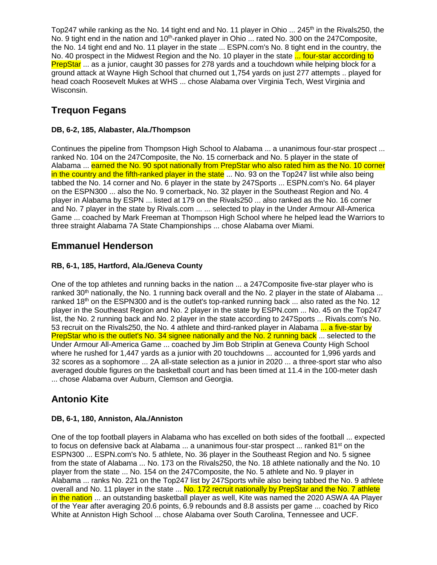Top247 while ranking as the No. 14 tight end and No. 11 player in Ohio ... 245<sup>th</sup> in the Rivals250, the No. 9 tight end in the nation and 10<sup>th</sup>-ranked player in Ohio ... rated No. 300 on the 247Composite, the No. 14 tight end and No. 11 player in the state ... ESPN.com's No. 8 tight end in the country, the No. 40 prospect in the Midwest Region and the No. 10 player in the state ... four-star according to PrepStar ... as a junior, caught 30 passes for 278 yards and a touchdown while helping block for a ground attack at Wayne High School that churned out 1,754 yards on just 277 attempts .. played for head coach Roosevelt Mukes at WHS ... chose Alabama over Virginia Tech, West Virginia and Wisconsin.

## **Trequon Fegans**

#### **DB, 6-2, 185, Alabaster, Ala./Thompson**

Continues the pipeline from Thompson High School to Alabama ... a unanimous four-star prospect ... ranked No. 104 on the 247Composite, the No. 15 cornerback and No. 5 player in the state of Alabama ... earned the No. 90 spot nationally from PrepStar who also rated him as the No. 10 corner in the country and the fifth-ranked player in the state ... No. 93 on the Top247 list while also being tabbed the No. 14 corner and No. 6 player in the state by 247Sports ... ESPN.com's No. 64 player on the ESPN300 ... also the No. 9 cornerback, No. 32 player in the Southeast Region and No. 4 player in Alabama by ESPN ... listed at 179 on the Rivals250 ... also ranked as the No. 16 corner and No. 7 player in the state by Rivals.com ... ... selected to play in the Under Armour All-America Game ... coached by Mark Freeman at Thompson High School where he helped lead the Warriors to three straight Alabama 7A State Championships ... chose Alabama over Miami.

## **Emmanuel Henderson**

#### **RB, 6-1, 185, Hartford, Ala./Geneva County**

One of the top athletes and running backs in the nation ... a 247Composite five-star player who is ranked  $30<sup>th</sup>$  nationally, the No. 1 running back overall and the No. 2 player in the state of Alabama ... ranked 18<sup>th</sup> on the ESPN300 and is the outlet's top-ranked running back ... also rated as the No. 12 player in the Southeast Region and No. 2 player in the state by ESPN.com ... No. 45 on the Top247 list, the No. 2 running back and No. 2 player in the state according to 247Sports ... Rivals.com's No. 53 recruit on the Rivals250, the No. 4 athlete and third-ranked player in Alabama ... a five-star by PrepStar who is the outlet's No. 34 signee nationally and the No. 2 running back ... selected to the Under Armour All-America Game ... coached by Jim Bob Striplin at Geneva County High School where he rushed for 1,447 yards as a junior with 20 touchdowns ... accounted for 1,996 yards and 32 scores as a sophomore ... 2A all-state selection as a junior in 2020 ... a three-sport star who also averaged double figures on the basketball court and has been timed at 11.4 in the 100-meter dash ... chose Alabama over Auburn, Clemson and Georgia.

## **Antonio Kite**

#### **DB, 6-1, 180, Anniston, Ala./Anniston**

One of the top football players in Alabama who has excelled on both sides of the football ... expected to focus on defensive back at Alabama  $\ldots$  a unanimous four-star prospect  $\ldots$  ranked 81<sup>st</sup> on the ESPN300 ... ESPN.com's No. 5 athlete, No. 36 player in the Southeast Region and No. 5 signee from the state of Alabama ... No. 173 on the Rivals250, the No. 18 athlete nationally and the No. 10 player from the state ... No. 154 on the 247Composite, the No. 5 athlete and No. 9 player in Alabama ... ranks No. 221 on the Top247 list by 247Sports while also being tabbed the No. 9 athlete overall and No. 11 player in the state ... No. 172 recruit nationally by PrepStar and the No. 7 athlete in the nation ... an outstanding basketball player as well, Kite was named the 2020 ASWA 4A Player of the Year after averaging 20.6 points, 6.9 rebounds and 8.8 assists per game ... coached by Rico White at Anniston High School ... chose Alabama over South Carolina, Tennessee and UCF.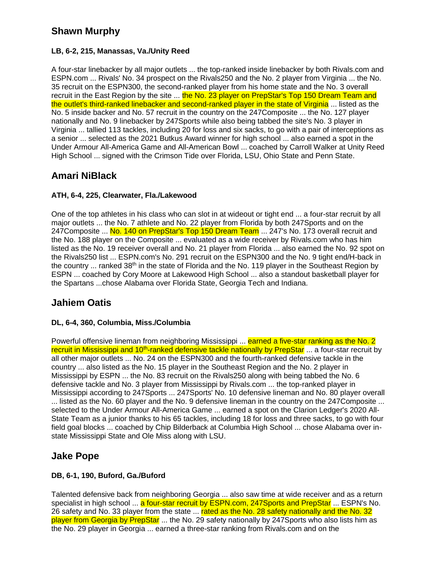## **Shawn Murphy**

#### **LB, 6-2, 215, Manassas, Va./Unity Reed**

A four-star linebacker by all major outlets ... the top-ranked inside linebacker by both Rivals.com and ESPN.com ... Rivals' No. 34 prospect on the Rivals250 and the No. 2 player from Virginia ... the No. 35 recruit on the ESPN300, the second-ranked player from his home state and the No. 3 overall recruit in the East Region by the site ... the No. 23 player on PrepStar's Top 150 Dream Team and the outlet's third-ranked linebacker and second-ranked player in the state of Virginia ... listed as the No. 5 inside backer and No. 57 recruit in the country on the 247Composite ... the No. 127 player nationally and No. 9 linebacker by 247Sports while also being tabbed the site's No. 3 player in Virginia ... tallied 113 tackles, including 20 for loss and six sacks, to go with a pair of interceptions as a senior ... selected as the 2021 Butkus Award winner for high school ... also earned a spot in the Under Armour All-America Game and All-American Bowl ... coached by Carroll Walker at Unity Reed High School ... signed with the Crimson Tide over Florida, LSU, Ohio State and Penn State.

## **Amari NiBlack**

#### **ATH, 6-4, 225, Clearwater, Fla./Lakewood**

One of the top athletes in his class who can slot in at wideout or tight end ... a four-star recruit by all major outlets ... the No. 7 athlete and No. 22 player from Florida by both 247Sports and on the 247Composite ... No. 140 on PrepStar's Top 150 Dream Team ... 247's No. 173 overall recruit and the No. 188 player on the Composite ... evaluated as a wide receiver by Rivals.com who has him listed as the No. 19 receiver overall and No. 21 player from Florida ... also earned the No. 92 spot on the Rivals250 list ... ESPN.com's No. 291 recruit on the ESPN300 and the No. 9 tight end/H-back in the country ... ranked 38<sup>th</sup> in the state of Florida and the No. 119 player in the Southeast Region by ESPN ... coached by Cory Moore at Lakewood High School ... also a standout basketball player for the Spartans ...chose Alabama over Florida State, Georgia Tech and Indiana.

## **Jahiem Oatis**

#### **DL, 6-4, 360, Columbia, Miss./Columbia**

Powerful offensive lineman from neighboring Mississippi ... earned a five-star ranking as the No. 2 recruit in Mississippi and 10<sup>th</sup>-ranked defensive tackle nationally by PrepStar ... a four-star recruit by all other major outlets ... No. 24 on the ESPN300 and the fourth-ranked defensive tackle in the country ... also listed as the No. 15 player in the Southeast Region and the No. 2 player in Mississippi by ESPN ... the No. 83 recruit on the Rivals250 along with being tabbed the No. 6 defensive tackle and No. 3 player from Mississippi by Rivals.com ... the top-ranked player in Mississippi according to 247Sports ... 247Sports' No. 10 defensive lineman and No. 80 player overall ... listed as the No. 60 player and the No. 9 defensive lineman in the country on the 247Composite ... selected to the Under Armour All-America Game ... earned a spot on the Clarion Ledger's 2020 All-State Team as a junior thanks to his 65 tackles, including 18 for loss and three sacks, to go with four field goal blocks ... coached by Chip Bilderback at Columbia High School ... chose Alabama over instate Mississippi State and Ole Miss along with LSU.

### **Jake Pope**

#### **DB, 6-1, 190, Buford, Ga./Buford**

Talented defensive back from neighboring Georgia ... also saw time at wide receiver and as a return specialist in high school ... a four-star recruit by ESPN.com, 247Sports and PrepStar ... ESPN's No. 26 safety and No. 33 player from the state ... rated as the No. 28 safety nationally and the No. 32 player from Georgia by PrepStar ... the No. 29 safety nationally by 247Sports who also lists him as the No. 29 player in Georgia ... earned a three-star ranking from Rivals.com and on the